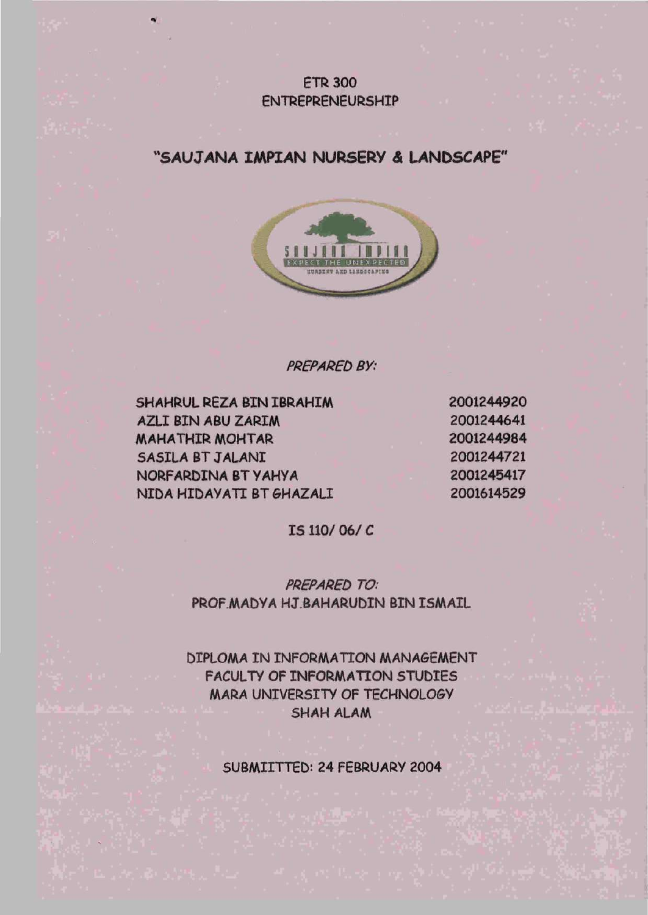## **FTR 300** ENTREPRENEURSHIP

## **"SAUJANA IMPIAN NURSERY A UNDSCAPE"**



PREPARED BY:

SHAHRUL REZA BIN IBRAHIM AZLIBINABUZARIM MAHATHIR MOHTAR SASILA BT JALANI NORFARDINA BTYAHYA NIDA HIDAYATI BT GHAZALI

**"«** 

IS 110/ 06/ C

PREPARED TO: PROF.MADYA HJ.BAHARUDIN BIN ISMAIL

DIPLOMA IN INFORMATION MANAGEMENT FACULTY OF INFORMATION STUDIES MARA UNIVERSITY OF TECHNOLOGY SHAH ALAM

SUBMIITTED: 24 FEBRUARY 2004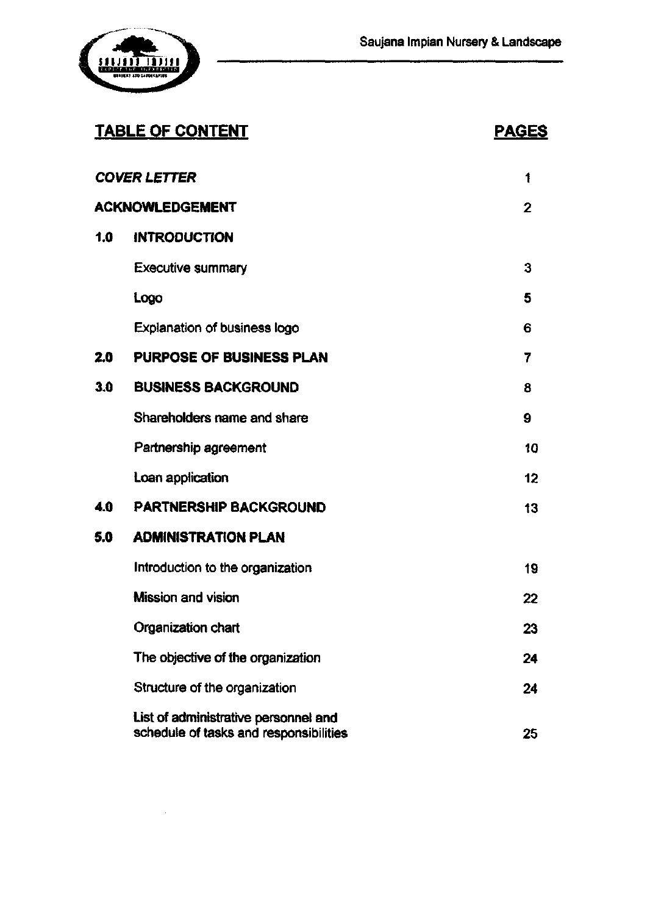

## **TABLE OF CONTENT PAGES**

 $\hat{\boldsymbol{\beta}}$ 

|                 | <b>COVER LETTER</b>                                                            | 1       |
|-----------------|--------------------------------------------------------------------------------|---------|
| ACKNOWLEDGEMENT |                                                                                | 2       |
| 1.0             | <b>INTRODUCTION</b>                                                            |         |
|                 | <b>Executive summary</b>                                                       | 3       |
|                 | Logo                                                                           | 5       |
|                 | <b>Explanation of business logo</b>                                            | 6       |
| 2.0             | PURPOSE OF BUSINESS PLAN                                                       | 7       |
| 3.0             | <b>BUSINESS BACKGROUND</b>                                                     | 8       |
|                 | Shareholders name and share                                                    | 9       |
|                 | Partnership agreement                                                          | 10      |
|                 | Loan application                                                               | $12 \,$ |
| 4.0             | <b>PARTNERSHIP BACKGROUND</b>                                                  | 13      |
| 5.0             | <b>ADMINISTRATION PLAN</b>                                                     |         |
|                 | Introduction to the organization                                               | 19      |
|                 | <b>Mission and vision</b>                                                      | 22      |
|                 | Organization chart                                                             | 23      |
|                 | The objective of the organization                                              | 24      |
|                 | Structure of the organization                                                  | 24      |
|                 | List of administrative personnel and<br>schedule of tasks and responsibilities | 25      |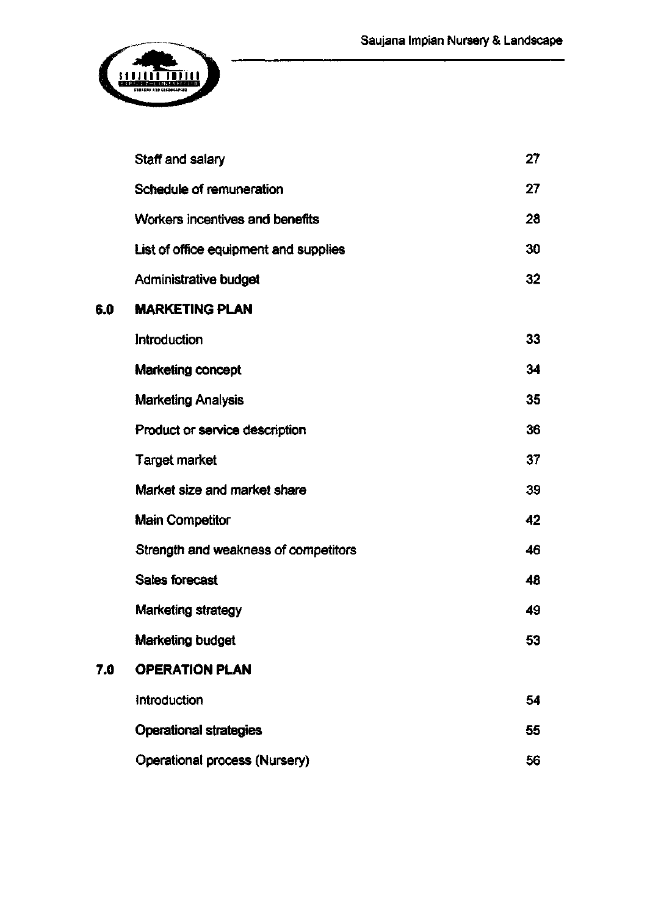

|     | Staff and salary                      | 27 |
|-----|---------------------------------------|----|
|     | Schedule of remuneration              | 27 |
|     | Workers incentives and benefits       | 28 |
|     | List of office equipment and supplies | 30 |
|     | Administrative budget                 | 32 |
| 6.0 | <b>MARKETING PLAN</b>                 |    |
|     | Introduction                          | 33 |
|     | Marketing concept                     | 34 |
|     | <b>Marketing Analysis</b>             | 35 |
|     | Product or service description        | 36 |
|     | <b>Target market</b>                  | 37 |
|     | Market size and market share          | 39 |
|     | <b>Main Competitor</b>                | 42 |
|     | Strength and weakness of competitors  | 46 |
|     | <b>Sales forecast</b>                 | 48 |
|     | Marketing strategy                    | 49 |
|     | Marketing budget                      | 53 |
| 7.0 | <b>OPERATION PLAN</b>                 |    |
|     | Introduction                          | 54 |
|     | <b>Operational strategies</b>         | 55 |
|     | Operational process (Nursery)         | 56 |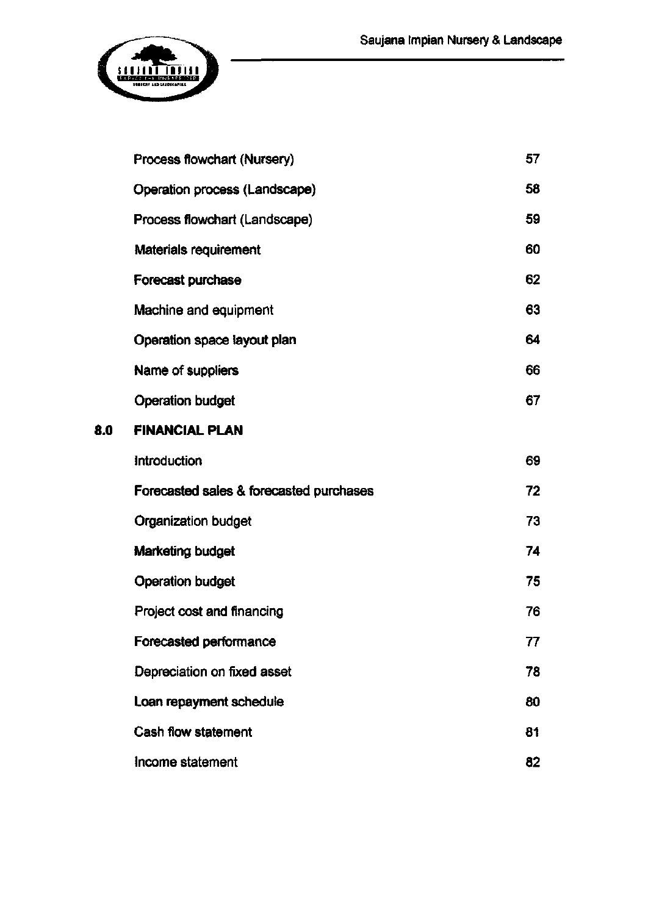

**8.0** 

| Process flowchart (Nursery)             |    |
|-----------------------------------------|----|
| Operation process (Landscape)           |    |
| Process flowchart (Landscape)           |    |
| Materials requirement                   | 60 |
| Forecast purchase                       | 62 |
| Machine and equipment                   | 63 |
| Operation space layout plan             | 64 |
| Name of suppliers                       | 66 |
| <b>Operation budget</b>                 | 67 |
| <b>FINANCIAL PLAN</b>                   |    |
| Introduction                            | 69 |
| Forecasted sales & forecasted purchases | 72 |
| Organization budget                     | 73 |
| Marketing budget                        | 74 |
| <b>Operation budget</b>                 | 75 |
| Project cost and financing              | 76 |
| Forecasted performance                  | 77 |
| Depreciation on fixed asset             | 78 |
| Loan repayment schedule                 |    |
| <b>Cash flow statement</b>              |    |
| Income statement                        | 82 |